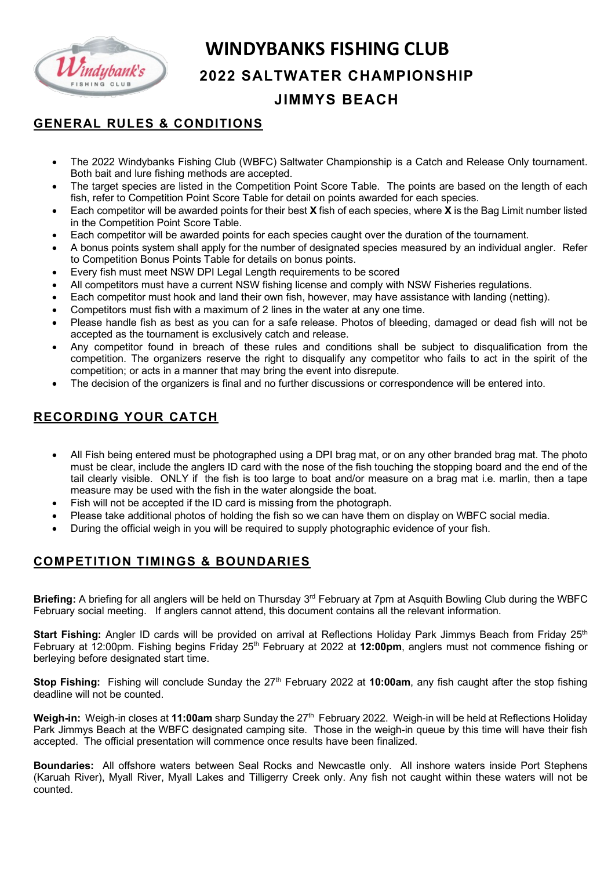

# **WINDYBANKS FISHING CLUB**

#### **2022 SALTWATER CHAMPIONSHIP**

## **JIMMYS BEACH**

#### **GENERAL RULES & CONDITIONS**

- The 2022 Windybanks Fishing Club (WBFC) Saltwater Championship is a Catch and Release Only tournament. Both bait and lure fishing methods are accepted.
- The target species are listed in the Competition Point Score Table. The points are based on the length of each fish, refer to Competition Point Score Table for detail on points awarded for each species.
- Each competitor will be awarded points for their best **X** fish of each species, where **X** is the Bag Limit number listed in the Competition Point Score Table.
- Each competitor will be awarded points for each species caught over the duration of the tournament.
- A bonus points system shall apply for the number of designated species measured by an individual angler. Refer to Competition Bonus Points Table for details on bonus points.
- Every fish must meet NSW DPI Legal Length requirements to be scored
- All competitors must have a current NSW fishing license and comply with NSW Fisheries regulations.
- Each competitor must hook and land their own fish, however, may have assistance with landing (netting).
- Competitors must fish with a maximum of 2 lines in the water at any one time.
- Please handle fish as best as you can for a safe release. Photos of bleeding, damaged or dead fish will not be accepted as the tournament is exclusively catch and release.
- Any competitor found in breach of these rules and conditions shall be subject to disqualification from the competition. The organizers reserve the right to disqualify any competitor who fails to act in the spirit of the competition; or acts in a manner that may bring the event into disrepute.
- The decision of the organizers is final and no further discussions or correspondence will be entered into.

### **RECORDING YOUR CATCH**

- All Fish being entered must be photographed using a DPI brag mat, or on any other branded brag mat. The photo must be clear, include the anglers ID card with the nose of the fish touching the stopping board and the end of the tail clearly visible. ONLY if the fish is too large to boat and/or measure on a brag mat i.e. marlin, then a tape measure may be used with the fish in the water alongside the boat.
- Fish will not be accepted if the ID card is missing from the photograph.
- Please take additional photos of holding the fish so we can have them on display on WBFC social media.
- During the official weigh in you will be required to supply photographic evidence of your fish.

#### **COMPETITION TIMINGS & BOUNDARIES**

**Briefing:** A briefing for all anglers will be held on Thursday 3rd February at 7pm at Asquith Bowling Club during the WBFC February social meeting. If anglers cannot attend, this document contains all the relevant information.

**Start Fishing:** Angler ID cards will be provided on arrival at Reflections Holiday Park Jimmys Beach from Friday 25<sup>th</sup> February at 12:00pm. Fishing begins Friday 25th February at 2022 at **12:00pm**, anglers must not commence fishing or berleying before designated start time.

**Stop Fishing:** Fishing will conclude Sunday the 27<sup>th</sup> February 2022 at 10:00am, any fish caught after the stop fishing deadline will not be counted.

Weigh-in: Weigh-in closes at 11:00am sharp Sunday the 27<sup>th</sup> February 2022. Weigh-in will be held at Reflections Holiday Park Jimmys Beach at the WBFC designated camping site. Those in the weigh-in queue by this time will have their fish accepted. The official presentation will commence once results have been finalized.

**Boundaries:** All offshore waters between Seal Rocks and Newcastle only. All inshore waters inside Port Stephens (Karuah River), Myall River, Myall Lakes and Tilligerry Creek only. Any fish not caught within these waters will not be counted.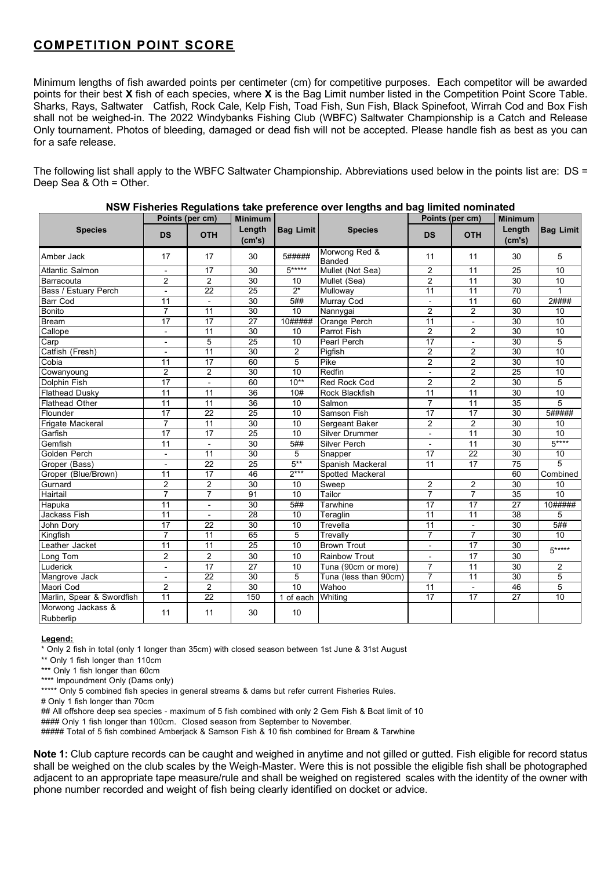#### **COMPETITION POINT SCORE**

Minimum lengths of fish awarded points per centimeter (cm) for competitive purposes. Each competitor will be awarded points for their best **X** fish of each species, where **X** is the Bag Limit number listed in the Competition Point Score Table. Sharks, Rays, Saltwater Catfish, Rock Cale, Kelp Fish, Toad Fish, Sun Fish, Black Spinefoot, Wirrah Cod and Box Fish shall not be weighed-in. The 2022 Windybanks Fishing Club (WBFC) Saltwater Championship is a Catch and Release Only tournament. Photos of bleeding, damaged or dead fish will not be accepted. Please handle fish as best as you can for a safe release.

The following list shall apply to the WBFC Saltwater Championship. Abbreviations used below in the points list are: DS = Deep Sea & Oth = Other.

|                                | Points (per cm)          |                          | <b>Minimum</b>   |                  |                         | Points (per cm) |                          | <b>Minimum</b>   |                  |
|--------------------------------|--------------------------|--------------------------|------------------|------------------|-------------------------|-----------------|--------------------------|------------------|------------------|
| <b>Species</b>                 | <b>DS</b>                | <b>OTH</b>               | Length<br>(cm's) | <b>Bag Limit</b> | <b>Species</b>          | <b>DS</b>       | <b>OTH</b>               | Length<br>(cm's) | <b>Bag Limit</b> |
| Amber Jack                     | 17                       | 17                       | 30               | 5#####           | Morwong Red &<br>Banded | 11              | 11                       | 30               | 5                |
| <b>Atlantic Salmon</b>         | $\overline{\phantom{a}}$ | 17                       | 30               | $5***$           | Mullet (Not Sea)        | 2               | 11                       | 25               | 10               |
| Barracouta                     | $\overline{2}$           | $\overline{2}$           | 30               | 10               | Mullet (Sea)            | $\overline{2}$  | 11                       | 30               | 10               |
| Bass / Estuary Perch           | $\overline{\phantom{a}}$ | $\overline{22}$          | $\overline{25}$  | $2^*$            | Mulloway                | 11              | $\overline{11}$          | 70               | $\mathbf{1}$     |
| <b>Barr Cod</b>                | 11                       | $\mathbf{r}$             | 30               | 5##              | Murray Cod              | $\blacksquare$  | $\overline{11}$          | 60               | 2####            |
| Bonito                         | $\overline{7}$           | 11                       | $\overline{30}$  | 10               | Nannygai                | $\overline{2}$  | $\overline{2}$           | $\overline{30}$  | 10               |
| <b>Bream</b>                   | 17                       | 17                       | 27               | 10#####          | Orange Perch            | 11              | $\overline{a}$           | 30               | 10               |
| Callope                        | $\overline{\phantom{0}}$ | 11                       | 30               | 10               | Parrot Fish             | $\overline{2}$  | $\overline{2}$           | 30               | 10               |
| Carp                           | $\overline{a}$           | 5                        | $\overline{25}$  | $\overline{10}$  | Pearl Perch             | 17              | $\overline{\phantom{a}}$ | 30               | 5                |
| Catfish (Fresh)                | L,                       | 11                       | 30               | $\overline{2}$   | Pigfish                 | $\overline{2}$  | $\overline{2}$           | 30               | 10               |
| Cobia                          | 11                       | 17                       | 60               | 5                | Pike                    | $\overline{2}$  | $\overline{c}$           | 30               | 10               |
| Cowanyoung                     | $\overline{2}$           | $\overline{2}$           | 30               | 10               | Redfin                  |                 | $\overline{2}$           | $\overline{25}$  | 10               |
| Dolphin Fish                   | $\overline{17}$          | $\blacksquare$           | 60               | $10**$           | Red Rock Cod            | $\overline{2}$  | $\overline{2}$           | $\overline{30}$  | 5                |
| <b>Flathead Dusky</b>          | 11                       | 11                       | 36               | 10#              | Rock Blackfish          | $\overline{11}$ | 11                       | 30               | 10               |
| <b>Flathead Other</b>          | 11                       | 11                       | 36               | 10               | Salmon                  | $\overline{7}$  | 11                       | 35               | 5                |
| Flounder                       | 17                       | $\overline{22}$          | 25               | 10               | Samson Fish             | 17              | 17                       | $\overline{30}$  | 5#####           |
| Frigate Mackeral               | $\overline{7}$           | 11                       | 30               | 10               | Sergeant Baker          | $\overline{2}$  | $\overline{2}$           | 30               | 10               |
| Garfish                        | $\overline{17}$          | 17                       | 25               | 10               | Silver Drummer          | $\blacksquare$  | 11                       | $\overline{30}$  | $\overline{10}$  |
| Gemfish                        | 11                       | $\overline{a}$           | 30               | 5#               | Silver Perch            |                 | 11                       | $\overline{30}$  | $5***$           |
| Golden Perch                   | $\overline{a}$           | 11                       | 30               | 5                | Snapper                 | 17              | $\overline{22}$          | 30               | 10               |
| Groper (Bass)                  | L,                       | $\overline{22}$          | $\overline{25}$  | $5***$           | Spanish Mackeral        | $\overline{11}$ | $\overline{17}$          | $\overline{75}$  | $\overline{5}$   |
| Groper (Blue/Brown)            | 11                       | 17                       | 46               | $2***$           | Spotted Mackeral        |                 |                          | 60               | Combined         |
| Gurnard                        | $\overline{2}$           | $\overline{2}$           | 30               | 10               | Sweep                   | $\overline{c}$  | $\overline{2}$           | 30               | 10               |
| Hairtail                       | 7                        | $\overline{7}$           | 91               | 10               | Tailor                  | $\overline{7}$  | 7                        | 35               | $\overline{10}$  |
| Hapuka                         | 11                       | $\overline{\phantom{0}}$ | 30               | 5#               | Tarwhine                | $\overline{17}$ | $\overline{17}$          | $\overline{27}$  | 10#####          |
| <b>Jackass Fish</b>            | 11                       | $\blacksquare$           | 28               | 10               | Teraglin                | $\overline{11}$ | $\overline{11}$          | $\overline{38}$  | 5                |
| John Dory                      | 17                       | 22                       | 30               | 10               | Trevella                | 11              | $\overline{\phantom{a}}$ | 30               | 5#               |
| Kingfish                       | $\overline{7}$           | 11                       | 65               | 5                | Trevally                | $\overline{7}$  | $\overline{7}$           | $\overline{30}$  | $\overline{10}$  |
| Leather Jacket                 | $\overline{11}$          | $\overline{11}$          | $\overline{25}$  | 10               | <b>Brown Trout</b>      | $\blacksquare$  | $\overline{17}$          | 30               | $5***$           |
| Long Tom                       | $\overline{2}$           | $\overline{2}$           | 30               | 10               | <b>Rainbow Trout</b>    |                 | 17                       | 30               |                  |
| Luderick                       | L,                       | $\overline{17}$          | $\overline{27}$  | 10               | Tuna (90cm or more)     | $\overline{7}$  | $\overline{11}$          | $\overline{30}$  | 2                |
| Mangrove Jack                  |                          | $\overline{22}$          | 30               | $\overline{5}$   | Tuna (less than 90cm)   | $\overline{7}$  | 11                       | $\overline{30}$  | 5                |
| Maori Cod                      | $\overline{2}$           | $\overline{2}$           | 30               | 10               | Wahoo                   | $\overline{11}$ | $\overline{\phantom{a}}$ | 46               | 5                |
| Marlin, Spear & Swordfish      | $\overline{11}$          | 22                       | 150              | 1 of each        | Whiting                 | $\overline{17}$ | $\overline{17}$          | 27               | $\overline{10}$  |
| Morwong Jackass &<br>Rubberlip | 11                       | 11                       | 30               | 10               |                         |                 |                          |                  |                  |

#### **NSW Fisheries Regulations take preference over lengths and bag limited nominated**

#### **Legend:**

\* Only 2 fish in total (only 1 longer than 35cm) with closed season between 1st June & 31st August

\*\* Only 1 fish longer than 110cm

\*\*\* Only 1 fish longer than 60cm

\*\*\*\* Impoundment Only (Dams only)

\*\*\*\*\* Only 5 combined fish species in general streams & dams but refer current Fisheries Rules.

# Only 1 fish longer than 70cm

## All offshore deep sea species - maximum of 5 fish combined with only 2 Gem Fish & Boat limit of 10 #### Only 1 fish longer than 100cm. Closed season from September to November. ##### Total of 5 fish combined Amberjack & Samson Fish & 10 fish combined for Bream & Tarwhine

**Note 1:** Club capture records can be caught and weighed in anytime and not gilled or gutted. Fish eligible for record status shall be weighed on the club scales by the Weigh-Master. Were this is not possible the eligible fish shall be photographed adjacent to an appropriate tape measure/rule and shall be weighed on registered scales with the identity of the owner with phone number recorded and weight of fish being clearly identified on docket or advice.